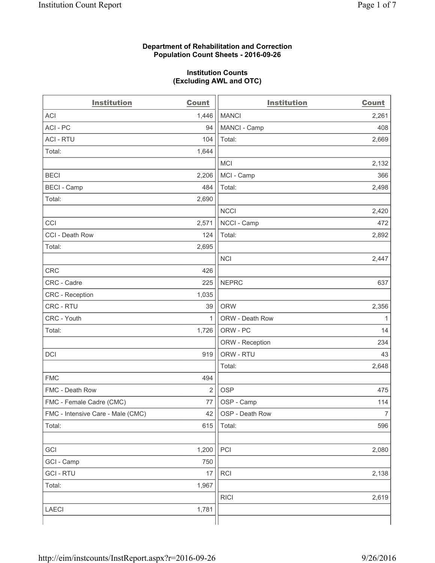#### **Department of Rehabilitation and Correction Population Count Sheets - 2016-09-26**

#### **Institution Counts (Excluding AWL and OTC)**

| <b>Institution</b>                | <b>Count</b>   | <b>Institution</b> | <b>Count</b>   |
|-----------------------------------|----------------|--------------------|----------------|
| <b>ACI</b>                        | 1,446          | <b>MANCI</b>       | 2,261          |
| ACI-PC                            | 94             | MANCI - Camp       | 408            |
| <b>ACI - RTU</b>                  | 104            | Total:             | 2,669          |
| Total:                            | 1,644          |                    |                |
|                                   |                | <b>MCI</b>         | 2,132          |
| <b>BECI</b>                       | 2,206          | MCI - Camp         | 366            |
| <b>BECI</b> - Camp                | 484            | Total:             | 2,498          |
| Total:                            | 2,690          |                    |                |
|                                   |                | <b>NCCI</b>        | 2,420          |
| CCI                               | 2,571          | NCCI - Camp        | 472            |
| CCI - Death Row                   | 124            | Total:             | 2,892          |
| Total:                            | 2,695          |                    |                |
|                                   |                | <b>NCI</b>         | 2,447          |
| <b>CRC</b>                        | 426            |                    |                |
| CRC - Cadre                       | 225            | <b>NEPRC</b>       | 637            |
| CRC - Reception                   | 1,035          |                    |                |
| CRC - RTU                         | 39             | <b>ORW</b>         | 2,356          |
| CRC - Youth                       | 1              | ORW - Death Row    | 1              |
| Total:                            | 1,726          | ORW - PC           | 14             |
|                                   |                | ORW - Reception    | 234            |
| DCI                               | 919            | ORW - RTU          | 43             |
|                                   |                | Total:             | 2,648          |
| <b>FMC</b>                        | 494            |                    |                |
| FMC - Death Row                   | $\overline{2}$ | <b>OSP</b>         | 475            |
| FMC - Female Cadre (CMC)          | 77             | OSP - Camp         | 114            |
| FMC - Intensive Care - Male (CMC) | 42             | OSP - Death Row    | $\overline{7}$ |
| Total:                            | 615            | Total:             | 596            |
|                                   |                |                    |                |
| GCI                               | 1,200          | PCI                | 2,080          |
| GCI - Camp                        | 750            |                    |                |
| <b>GCI-RTU</b>                    | 17             | RCI                | 2,138          |
| Total:                            | 1,967          |                    |                |
|                                   |                | <b>RICI</b>        | 2,619          |
| <b>LAECI</b>                      | 1,781          |                    |                |
|                                   |                |                    |                |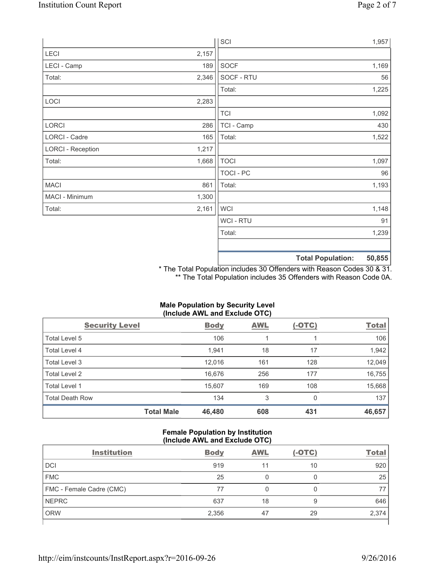|                          |       | SCI            |                          | 1,957  |
|--------------------------|-------|----------------|--------------------------|--------|
| LECI                     | 2,157 |                |                          |        |
| LECI - Camp              | 189   | SOCF           |                          | 1,169  |
| Total:                   | 2,346 | SOCF - RTU     |                          | 56     |
|                          |       | Total:         |                          | 1,225  |
| LOCI                     | 2,283 |                |                          |        |
|                          |       | <b>TCI</b>     |                          | 1,092  |
| LORCI                    | 286   | TCI - Camp     |                          | 430    |
| LORCI - Cadre            | 165   | Total:         |                          | 1,522  |
| <b>LORCI - Reception</b> | 1,217 |                |                          |        |
| Total:                   | 1,668 | <b>TOCI</b>    |                          | 1,097  |
|                          |       | TOCI - PC      |                          | 96     |
| <b>MACI</b>              | 861   | Total:         |                          | 1,193  |
| MACI - Minimum           | 1,300 |                |                          |        |
| Total:                   | 2,161 | <b>WCI</b>     |                          | 1,148  |
|                          |       | <b>WCI-RTU</b> |                          | 91     |
|                          |       | Total:         |                          | 1,239  |
|                          |       |                | <b>Total Population:</b> | 50,855 |

\* The Total Population includes 30 Offenders with Reason Codes 30 & 31. \*\* The Total Population includes 35 Offenders with Reason Code 0A.

Total Male 46,480 608 431 46,657

# **(Include AWL and Exclude OTC)**  Security Level **Body** AWL (-OTC) Total Total Level 5  $106$  106  $1$  106  $1$  106  $1$  106  $1$  106 Total Level 4 1,942 1,942 1,944 18 17 1,942 18 17 1,942 Total Level 3 12,049 12,016 12,016 161 161 128 12,049 Total Level 2 16,676 256 177 16,755

Total Level 1 15,607 169 108 15,668 Total Death Row **134** 134 3 0 137

# **Male Population by Security Level**

#### **Female Population by Institution (Include AWL and Exclude OTC)**

| <b>Institution</b>              | <b>Body</b> | <b>AWL</b> | $(-OTC)$ | <b>Total</b> |
|---------------------------------|-------------|------------|----------|--------------|
| <b>DCI</b>                      | 919         |            | 10       | 920          |
| <b>FMC</b>                      | 25          |            |          | 25           |
| <b>FMC - Female Cadre (CMC)</b> | 77          |            |          |              |
| <b>NEPRC</b>                    | 637         | 18         | 9        | 646          |
| <b>ORW</b>                      | 2,356       | 47         | 29       | 2,374        |
|                                 |             |            |          |              |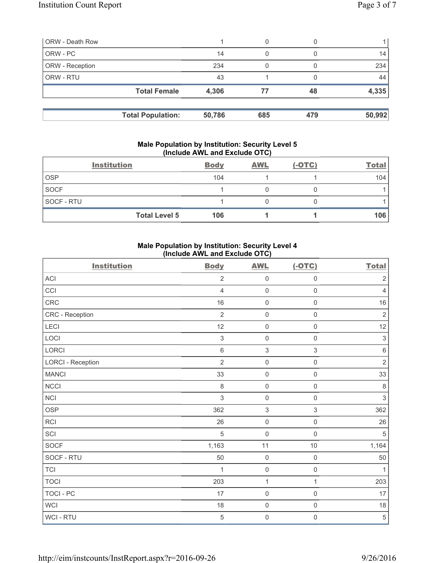| <b>ORW</b> - Death Row |                          |        | 0   |     |        |
|------------------------|--------------------------|--------|-----|-----|--------|
| ORW - PC               |                          | 14     | 0   |     | 14     |
| ORW - Reception        |                          | 234    |     |     | 234    |
| ORW - RTU              |                          | 43     |     |     | 44     |
|                        | <b>Total Female</b>      | 4,306  | 77  | 48  | 4,335  |
|                        | <b>Total Population:</b> | 50,786 | 685 | 479 | 50,992 |

#### **Male Population by Institution: Security Level 5 (Include AWL and Exclude OTC)**

|                   | <b>Institution</b>   | <b>Body</b> | <b>AWL</b> | $(-OTC)$ | <b>Total</b> |
|-------------------|----------------------|-------------|------------|----------|--------------|
| <b>OSP</b>        |                      | 104         |            |          | 104          |
| <b>SOCF</b>       |                      |             |            |          |              |
| <b>SOCF - RTU</b> |                      |             |            |          |              |
|                   | <b>Total Level 5</b> | 106         |            |          | 106          |

# **Male Population by Institution: Security Level 4 (Include AWL and Exclude OTC)**

| <b>Institution</b>       | <b>Body</b>    | <b>AWL</b>          | $(-OTC)$            | <b>Total</b>   |
|--------------------------|----------------|---------------------|---------------------|----------------|
| <b>ACI</b>               | $\overline{2}$ | $\mathsf{O}\xspace$ | $\mathsf 0$         | $\overline{2}$ |
| CCI                      | $\overline{4}$ | $\mathsf{O}\xspace$ | $\mathsf 0$         | $\overline{4}$ |
| CRC                      | 16             | $\mathsf{O}\xspace$ | $\mathsf 0$         | $16$           |
| CRC - Reception          | $\overline{2}$ | $\mathsf{O}\xspace$ | $\mathsf 0$         | $\sqrt{2}$     |
| LECI                     | 12             | $\mathsf{O}\xspace$ | $\mathsf{O}\xspace$ | 12             |
| LOCI                     | $\sqrt{3}$     | $\mathsf{O}\xspace$ | $\mathsf{O}\xspace$ | $\sqrt{3}$     |
| LORCI                    | $\,6\,$        | $\,$ 3 $\,$         | $\mathsf 3$         | $\,6\,$        |
| <b>LORCI - Reception</b> | $\overline{2}$ | $\mathsf{O}\xspace$ | $\mathsf 0$         | $\sqrt{2}$     |
| <b>MANCI</b>             | 33             | $\mathsf{O}\xspace$ | $\mathbf 0$         | 33             |
| <b>NCCI</b>              | $\,8\,$        | $\mathsf{O}\xspace$ | $\mathsf 0$         | $\,8\,$        |
| <b>NCI</b>               | $\sqrt{3}$     | $\mathsf{O}\xspace$ | $\mathsf{O}\xspace$ | $\mathsf 3$    |
| <b>OSP</b>               | 362            | $\,$ 3 $\,$         | $\,$ 3 $\,$         | 362            |
| <b>RCI</b>               | 26             | $\mathsf{O}\xspace$ | $\mathsf{O}\xspace$ | 26             |
| SCI                      | $\sqrt{5}$     | $\mathbf 0$         | $\mathsf{O}\xspace$ | $\,$ 5 $\,$    |
| SOCF                     | 1,163          | 11                  | $10$                | 1,164          |
| SOCF - RTU               | 50             | $\mathsf{O}\xspace$ | $\mathsf 0$         | 50             |
| <b>TCI</b>               | 1              | $\mathsf{O}\xspace$ | $\mathsf{O}\xspace$ | $\mathbf{1}$   |
| <b>TOCI</b>              | 203            | $\mathbf{1}$        | $\mathbf{1}$        | 203            |
| <b>TOCI - PC</b>         | 17             | $\mathsf{O}\xspace$ | $\mathbf 0$         | 17             |
| <b>WCI</b>               | 18             | $\mathsf{O}\xspace$ | $\mathsf{O}\xspace$ | 18             |
| WCI - RTU                | $\sqrt{5}$     | $\mathsf{O}\xspace$ | $\mathsf{O}\xspace$ | $\sqrt{5}$     |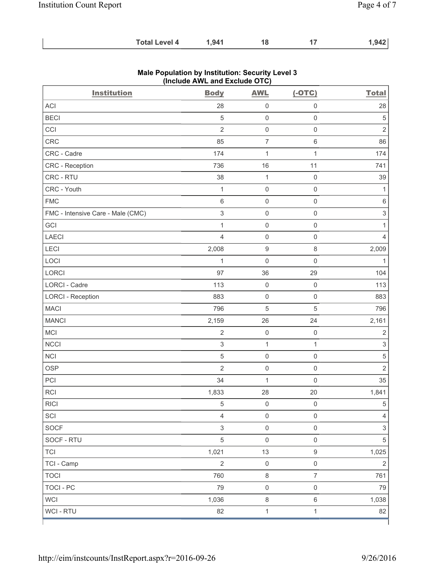| <b>Total Level 4</b> | 1,941 |  |  | .942 |
|----------------------|-------|--|--|------|
|----------------------|-------|--|--|------|

| <b>Institution</b>                | $($ nolddo Affe and Exolddo Oro $)$<br><b>Body</b> | <b>AWL</b>               | $(-OTC)$            | <b>Total</b>              |
|-----------------------------------|----------------------------------------------------|--------------------------|---------------------|---------------------------|
| ACI                               | 28                                                 | $\mathsf{O}\xspace$      | $\mathbf 0$         | 28                        |
| <b>BECI</b>                       | 5                                                  | $\mathsf{O}\xspace$      | $\mathsf{O}\xspace$ | $\,$ 5 $\,$               |
| CCI                               | $\overline{2}$                                     | $\mathsf{O}\xspace$      | $\mathsf{O}\xspace$ | $\overline{2}$            |
| CRC                               | 85                                                 | $\overline{\mathcal{I}}$ | $\,6\,$             | 86                        |
| CRC - Cadre                       | 174                                                | $\mathbf{1}$             | $\mathbf{1}$        | 174                       |
| CRC - Reception                   | 736                                                | 16                       | 11                  | 741                       |
| CRC - RTU                         | 38                                                 | $\mathbf{1}$             | $\mathsf{O}\xspace$ | 39                        |
| CRC - Youth                       | $\mathbf 1$                                        | $\mathsf{O}\xspace$      | $\mathsf{O}\xspace$ | $\mathbf{1}$              |
| ${\sf FMC}$                       | $\,$ 6 $\,$                                        | $\mathsf{O}\xspace$      | $\mathsf{O}\xspace$ | $\,6\,$                   |
| FMC - Intensive Care - Male (CMC) | $\mathsf 3$                                        | $\mathsf{O}\xspace$      | $\mathsf{O}\xspace$ | $\ensuremath{\mathsf{3}}$ |
| GCI                               | $\mathbf{1}$                                       | $\mathsf{O}\xspace$      | $\mathsf{O}\xspace$ | $\mathbf{1}$              |
| LAECI                             | $\overline{4}$                                     | $\mathsf{O}\xspace$      | $\mathsf 0$         | $\overline{4}$            |
| LECI                              | 2,008                                              | $\hbox{9}$               | 8                   | 2,009                     |
| LOCI                              | $\mathbf{1}$                                       | $\mathsf{O}\xspace$      | $\mathsf{O}\xspace$ | $\mathbf{1}$              |
| LORCI                             | 97                                                 | 36                       | 29                  | 104                       |
| LORCI - Cadre                     | 113                                                | $\mathsf{O}\xspace$      | $\mathsf{O}\xspace$ | 113                       |
| <b>LORCI - Reception</b>          | 883                                                | $\mathsf{O}\xspace$      | $\mathsf 0$         | 883                       |
| <b>MACI</b>                       | 796                                                | 5                        | 5                   | 796                       |
| <b>MANCI</b>                      | 2,159                                              | 26                       | 24                  | 2,161                     |
| MCI                               | $\sqrt{2}$                                         | $\mathsf{O}\xspace$      | $\mathsf{O}\xspace$ | $\sqrt{2}$                |
| NCCI                              | $\mathfrak{S}$                                     | $\mathbf{1}$             | $\mathbf{1}$        | $\ensuremath{\mathsf{3}}$ |
| <b>NCI</b>                        | $\sqrt{5}$                                         | $\mathsf{O}\xspace$      | $\mathsf 0$         | $\,$ 5 $\,$               |
| <b>OSP</b>                        | $\overline{2}$                                     | $\mathsf{O}\xspace$      | $\mathsf 0$         | $\overline{2}$            |
| PCI                               | 34                                                 | $\mathbf{1}$             | $\mathsf{O}\xspace$ | 35                        |
| <b>RCI</b>                        | 1,833                                              | 28                       | 20                  | 1,841                     |
| <b>RICI</b>                       | 5                                                  | $\mathsf{O}\xspace$      | $\mathsf{O}\xspace$ | 5                         |
| SCI                               | $\overline{4}$                                     | $\mathsf 0$              | $\mathsf{O}\xspace$ | $\overline{4}$            |
| SOCF                              | 3                                                  | $\mathsf{O}\xspace$      | $\mathsf{O}\xspace$ | $\mathfrak{S}$            |
| SOCF - RTU                        | 5                                                  | $\mathsf 0$              | $\mathsf{O}\xspace$ | 5                         |
| <b>TCI</b>                        | 1,021                                              | 13                       | $\mathsf g$         | 1,025                     |
| TCI - Camp                        | $\overline{2}$                                     | $\mathbf 0$              | $\mathsf{O}\xspace$ | $\overline{2}$            |
| <b>TOCI</b>                       | 760                                                | $\,8\,$                  | $\overline{7}$      | 761                       |
| <b>TOCI - PC</b>                  | 79                                                 | $\mathsf 0$              | $\mathsf{O}\xspace$ | 79                        |
| <b>WCI</b>                        | 1,036                                              | $\,8\,$                  | $\,6\,$             | 1,038                     |
| WCI - RTU                         | 82                                                 | $\mathbf{1}$             | $\mathbf{1}$        | 82                        |

# **Male Population by Institution: Security Level 3 (Include AWL and Exclude OTC)**

ľ

 $\mathbf{I}$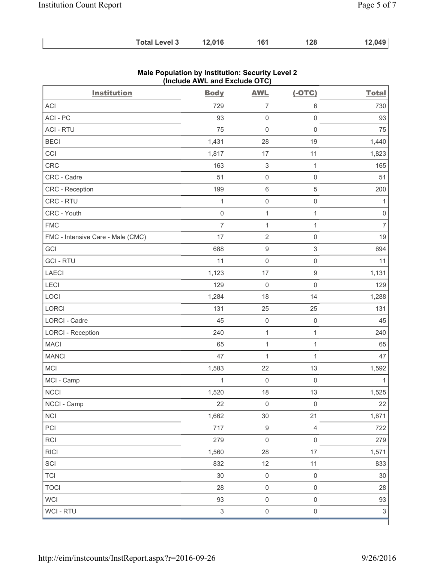| <b>Total Level 3</b> | 12,016 | 161 | 128 | 12,049 |
|----------------------|--------|-----|-----|--------|
|----------------------|--------|-----|-----|--------|

| <b>Institution</b>                | <b>Body</b>    | <b>AWL</b>                | $(-OTC)$                 | <b>Total</b>   |
|-----------------------------------|----------------|---------------------------|--------------------------|----------------|
| <b>ACI</b>                        | 729            | $\overline{7}$            | 6                        | 730            |
| ACI - PC                          | 93             | $\mathbf 0$               | $\mathsf{O}\xspace$      | 93             |
| <b>ACI - RTU</b>                  | 75             | $\mathsf{O}\xspace$       | $\mathsf{O}\xspace$      | 75             |
| <b>BECI</b>                       | 1,431          | 28                        | 19                       | 1,440          |
| CCI                               | 1,817          | 17                        | 11                       | 1,823          |
| CRC                               | 163            | $\ensuremath{\mathsf{3}}$ | $\mathbf{1}$             | 165            |
| CRC - Cadre                       | 51             | $\mathsf{O}\xspace$       | $\mathsf{O}\xspace$      | 51             |
| CRC - Reception                   | 199            | $\,6\,$                   | 5                        | 200            |
| CRC - RTU                         | 1              | $\mathsf{O}\xspace$       | $\mathsf{O}\xspace$      | 1              |
| CRC - Youth                       | $\mathsf 0$    | $\mathbf 1$               | $\mathbf{1}$             | $\mathsf 0$    |
| <b>FMC</b>                        | $\overline{7}$ | $\mathbf{1}$              | $\mathbf{1}$             | $\overline{7}$ |
| FMC - Intensive Care - Male (CMC) | 17             | $\overline{2}$            | $\mathsf{O}\xspace$      | 19             |
| GCI                               | 688            | $\boldsymbol{9}$          | 3                        | 694            |
| <b>GCI-RTU</b>                    | 11             | $\mathsf{O}\xspace$       | $\mathsf{O}\xspace$      | 11             |
| <b>LAECI</b>                      | 1,123          | 17                        | $\mathsf g$              | 1,131          |
| LECI                              | 129            | $\mathbf 0$               | $\mathsf{O}\xspace$      | 129            |
| LOCI                              | 1,284          | 18                        | 14                       | 1,288          |
| LORCI                             | 131            | 25                        | 25                       | 131            |
| LORCI - Cadre                     | 45             | $\mathsf{O}\xspace$       | $\mathsf{O}\xspace$      | 45             |
| <b>LORCI - Reception</b>          | 240            | $\mathbf 1$               | $\mathbf{1}$             | 240            |
| <b>MACI</b>                       | 65             | $\mathbf 1$               | $\mathbf{1}$             | 65             |
| <b>MANCI</b>                      | 47             | $\mathbf 1$               | $\mathbf{1}$             | 47             |
| MCI                               | 1,583          | 22                        | 13                       | 1,592          |
| MCI - Camp                        | $\mathbf{1}$   | $\mathbf 0$               | $\mathsf{O}\xspace$      | 1              |
| <b>NCCI</b>                       | 1,520          | 18                        | 13                       | 1,525          |
| NCCI - Camp                       | 22             | $\mathsf 0$               | $\mathsf{O}\xspace$      | 22             |
| <b>NCI</b>                        | 1,662          | 30                        | 21                       | 1,671          |
| PCI                               | 717            | $\boldsymbol{9}$          | $\overline{\mathcal{L}}$ | 722            |
| RCI                               | 279            | $\mathbf 0$               | $\mathsf 0$              | 279            |
| <b>RICI</b>                       | 1,560          | 28                        | 17                       | 1,571          |
| SCI                               | 832            | 12                        | 11                       | 833            |
| <b>TCI</b>                        | $30\,$         | $\mathsf{O}\xspace$       | $\mathsf{O}\xspace$      | $30\,$         |
| <b>TOCI</b>                       | 28             | $\mathsf{O}\xspace$       | $\mathsf{O}\xspace$      | 28             |
| <b>WCI</b>                        | 93             | $\mathsf{O}\xspace$       | $\mathsf{O}\xspace$      | 93             |
| WCI - RTU                         | $\sqrt{3}$     | $\mathsf{O}\xspace$       | $\mathsf{O}\xspace$      | $\mathfrak{S}$ |

#### **Male Population by Institution: Security Level 2 (Include AWL and Exclude OTC)**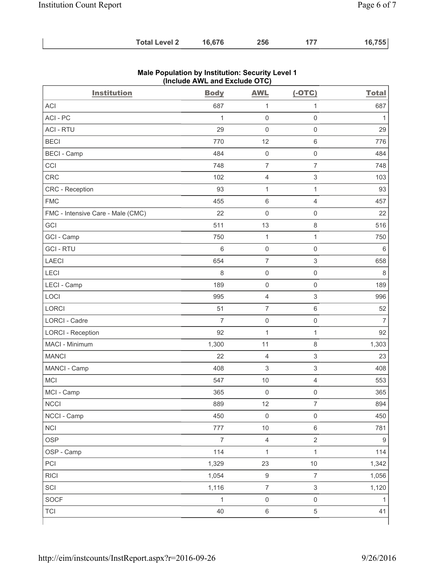| <b>Total Level 2</b> | 16,676 | 256 |  | 16,755 |
|----------------------|--------|-----|--|--------|
|----------------------|--------|-----|--|--------|

| <b>Institution</b>                | <b>Body</b>    | <b>AWL</b>                | $(-OTC)$                  | <b>Total</b>     |
|-----------------------------------|----------------|---------------------------|---------------------------|------------------|
| <b>ACI</b>                        | 687            | 1                         | $\mathbf{1}$              | 687              |
| ACI-PC                            | $\mathbf{1}$   | $\mathbf 0$               | $\mathsf 0$               | $\mathbf{1}$     |
| <b>ACI - RTU</b>                  | 29             | $\mathbf 0$               | $\mathsf 0$               | 29               |
| <b>BECI</b>                       | 770            | 12                        | $\,6\,$                   | 776              |
| <b>BECI</b> - Camp                | 484            | $\mathsf{O}\xspace$       | $\mathsf{O}\xspace$       | 484              |
| CCI                               | 748            | $\overline{7}$            | $\overline{7}$            | 748              |
| CRC                               | 102            | $\overline{4}$            | $\ensuremath{\mathsf{3}}$ | 103              |
| CRC - Reception                   | 93             | $\mathbf{1}$              | $\mathbf{1}$              | 93               |
| <b>FMC</b>                        | 455            | $\,6\,$                   | 4                         | 457              |
| FMC - Intensive Care - Male (CMC) | 22             | $\mathsf{O}\xspace$       | $\mathsf{O}\xspace$       | 22               |
| GCI                               | 511            | 13                        | $\,8\,$                   | 516              |
| GCI - Camp                        | 750            | $\mathbf{1}$              | $\mathbf{1}$              | 750              |
| <b>GCI-RTU</b>                    | 6              | $\mathsf 0$               | $\mathsf{O}\xspace$       | $\,6\,$          |
| <b>LAECI</b>                      | 654            | $\overline{7}$            | $\ensuremath{\mathsf{3}}$ | 658              |
| LECI                              | 8              | $\mathsf{O}\xspace$       | $\mathsf{O}\xspace$       | 8                |
| LECI - Camp                       | 189            | $\mathsf{O}\xspace$       | $\mathbf 0$               | 189              |
| LOCI                              | 995            | $\overline{4}$            | $\ensuremath{\mathsf{3}}$ | 996              |
| <b>LORCI</b>                      | 51             | $\overline{7}$            | $\,6\,$                   | 52               |
| <b>LORCI - Cadre</b>              | $\overline{7}$ | $\mathsf{O}\xspace$       | $\mathsf 0$               | $\overline{7}$   |
| <b>LORCI - Reception</b>          | 92             | $\mathbf{1}$              | $\mathbf{1}$              | 92               |
| MACI - Minimum                    | 1,300          | 11                        | $\,8\,$                   | 1,303            |
| <b>MANCI</b>                      | 22             | $\overline{4}$            | $\ensuremath{\mathsf{3}}$ | 23               |
| MANCI - Camp                      | 408            | $\ensuremath{\mathsf{3}}$ | $\ensuremath{\mathsf{3}}$ | 408              |
| MCI                               | 547            | $10$                      | $\overline{4}$            | 553              |
| MCI - Camp                        | 365            | $\mathsf{O}\xspace$       | $\mathsf{O}\xspace$       | 365              |
| <b>NCCI</b>                       | 889            | 12                        | $\overline{7}$            | 894              |
| NCCI - Camp                       | 450            | $\mathsf 0$               | $\mathsf 0$               | 450              |
| <b>NCI</b>                        | 777            | $10$                      | $\,6\,$                   | 781              |
| <b>OSP</b>                        | $\overline{7}$ | $\overline{4}$            | $\overline{2}$            | $\boldsymbol{9}$ |
| OSP - Camp                        | 114            | $\mathbf 1$               | $\mathbf{1}$              | 114              |
| PCI                               | 1,329          | 23                        | $10$                      | 1,342            |
| <b>RICI</b>                       | 1,054          | $\boldsymbol{9}$          | $\overline{7}$            | 1,056            |
| SCI                               | 1,116          | $\overline{\mathcal{I}}$  | $\ensuremath{\mathsf{3}}$ | 1,120            |
| SOCF                              | $\mathbf{1}$   | $\mathsf{O}\xspace$       | $\mathsf{O}\xspace$       | 1                |
| <b>TCI</b>                        | 40             | $\,6\,$                   | $\,$ 5 $\,$               | 41               |

### **Male Population by Institution: Security Level 1 (Include AWL and Exclude OTC)**